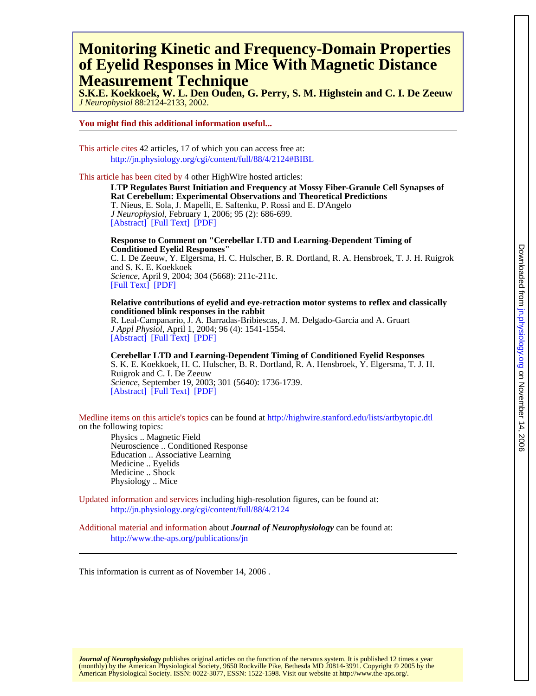## **Measurement Technique of Eyelid Responses in Mice With Magnetic Distance Monitoring Kinetic and Frequency-Domain Properties**

*J Neurophysiol* 88:2124-2133, 2002. **S.K.E. Koekkoek, W. L. Den Ouden, G. Perry, S. M. Highstein and C. I. De Zeeuw** 

**You might find this additional information useful...**

This article cites 42 articles, 17 of which you can access free at: <http://jn.physiology.org/cgi/content/full/88/4/2124#BIBL>

This article has been cited by 4 other HighWire hosted articles:

[\[Abstract\]](http://jn.physiology.org/cgi/content/abstract/95/2/686) [\[Full Text\]](http://jn.physiology.org/cgi/content/full/95/2/686) [\[PDF\]](http://jn.physiology.org/cgi/reprint/95/2/686) *J Neurophysiol*, February 1, 2006; 95 (2): 686-699. T. Nieus, E. Sola, J. Mapelli, E. Saftenku, P. Rossi and E. D'Angelo **Rat Cerebellum: Experimental Observations and Theoretical Predictions LTP Regulates Burst Initiation and Frequency at Mossy Fiber-Granule Cell Synapses of**

[\[Full Text\]](http://www.sciencemag.org/cgi/content/full/304/5668/211c) [\[PDF\]](http://www.sciencemag.org/cgi/reprint/304/5668/211c) *Science*, April 9, 2004; 304 (5668): 211c-211c. and S. K. E. Koekkoek C. I. De Zeeuw, Y. Elgersma, H. C. Hulscher, B. R. Dortland, R. A. Hensbroek, T. J. H. Ruigrok **Conditioned Eyelid Responses" Response to Comment on "Cerebellar LTD and Learning-Dependent Timing of**

[\[Abstract\]](http://www.jap.org/cgi/content/abstract/96/4/1541) [\[Full Text\]](http://www.jap.org/cgi/content/full/96/4/1541) [\[PDF\]](http://www.jap.org/cgi/reprint/96/4/1541) *J Appl Physiol*, April 1, 2004; 96 (4): 1541-1554. R. Leal-Campanario, J. A. Barradas-Bribiescas, J. M. Delgado-Garcia and A. Gruart **conditioned blink responses in the rabbit Relative contributions of eyelid and eye-retraction motor systems to reflex and classically**

[\[Abstract\]](http://www.sciencemag.org/cgi/content/abstract/301/5640/1736) [\[Full Text\]](http://www.sciencemag.org/cgi/content/full/301/5640/1736) [\[PDF\]](http://www.sciencemag.org/cgi/reprint/301/5640/1736) *Science*, September 19, 2003; 301 (5640): 1736-1739. Ruigrok and C. I. De Zeeuw S. K. E. Koekkoek, H. C. Hulscher, B. R. Dortland, R. A. Hensbroek, Y. Elgersma, T. J. H. **Cerebellar LTD and Learning-Dependent Timing of Conditioned Eyelid Responses**

on the following topics: Medline items on this article's topics can be found at<http://highwire.stanford.edu/lists/artbytopic.dtl>

Physiology .. Mice Medicine .. Shock Medicine .. Eyelids Education .. Associative Learning Neuroscience .. Conditioned Response Physics .. Magnetic Field

Updated information and services including high-resolution figures, can be found at: <http://jn.physiology.org/cgi/content/full/88/4/2124>

Additional material and information about *Journal of Neurophysiology* can be found at: <http://www.the-aps.org/publications/jn>

This information is current as of November 14, 2006 .

American Physiological Society. ISSN: 0022-3077, ESSN: 1522-1598. Visit our website at [http://www.the-aps.org/.](http://www.the-aps.org/) (monthly) by the American Physiological Society, 9650 Rockville Pike, Bethesda MD 20814-3991. Copyright © 2005 by the *Journal of Neurophysiology* publishes original articles on the function of the nervous system. It is published 12 times a year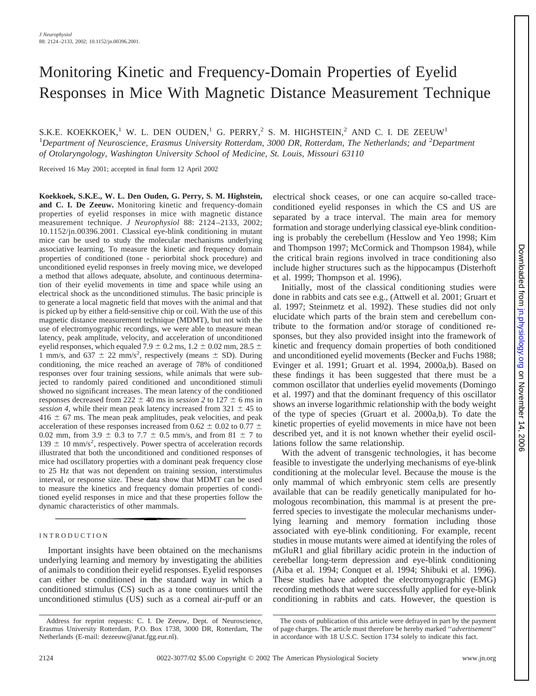# Monitoring Kinetic and Frequency-Domain Properties of Eyelid Responses in Mice With Magnetic Distance Measurement Technique

S.K.E. KOEKKOEK,<sup>1</sup> W. L. DEN OUDEN,<sup>1</sup> G. PERRY,<sup>2</sup> S. M. HIGHSTEIN,<sup>2</sup> AND C. I. DE ZEEUW<sup>1</sup> <sup>1</sup>Department of Neuroscience, Erasmus University Rotterdam, 3000 DR, Rotterdam, The Netherlands; and <sup>2</sup>Department

*of Otolaryngology, Washington University School of Medicine, St. Louis, Missouri 63110*

Received 16 May 2001; accepted in final form 12 April 2002

**Koekkoek, S.K.E., W. L. Den Ouden, G. Perry, S. M. Highstein, and C. I. De Zeeuw.** Monitoring kinetic and frequency-domain properties of eyelid responses in mice with magnetic distance measurement technique. *J Neurophysiol* 88: 2124–2133, 2002; 10.1152/jn.00396.2001. Classical eye-blink conditioning in mutant mice can be used to study the molecular mechanisms underlying associative learning. To measure the kinetic and frequency domain properties of conditioned (tone - periorbital shock procedure) and unconditioned eyelid responses in freely moving mice, we developed a method that allows adequate, absolute, and continuous determination of their eyelid movements in time and space while using an electrical shock as the unconditioned stimulus. The basic principle is to generate a local magnetic field that moves with the animal and that is picked up by either a field-sensitive chip or coil. With the use of this magnetic distance measurement technique (MDMT), but not with the use of electromyographic recordings, we were able to measure mean latency, peak amplitude, velocity, and acceleration of unconditioned eyelid responses, which equaled 7.9  $\pm$  0.2 ms, 1.2  $\pm$  0.02 mm, 28.5  $\pm$ 1 mm/s, and 637  $\pm$  22 mm/s<sup>2</sup>, respectively (means  $\pm$  SD). During conditioning, the mice reached an average of 78% of conditioned responses over four training sessions, while animals that were subjected to randomly paired conditioned and unconditioned stimuli showed no significant increases. The mean latency of the conditioned responses decreased from 222  $\pm$  40 ms in *session* 2 to 127  $\pm$  6 ms in *session 4,* while their mean peak latency increased from  $321 \pm 45$  to  $416 \pm 67$  ms. The mean peak amplitudes, peak velocities, and peak acceleration of these responses increased from 0.62  $\pm$  0.02 to 0.77  $\pm$ 0.02 mm, from 3.9  $\pm$  0.3 to 7.7  $\pm$  0.5 mm/s, and from 81  $\pm$  7 to  $139 \pm 10$  mm/s<sup>2</sup>, respectively. Power spectra of acceleration records illustrated that both the unconditioned and conditioned responses of mice had oscillatory properties with a dominant peak frequency close to 25 Hz that was not dependent on training session, interstimulus interval, or response size. These data show that MDMT can be used to measure the kinetics and frequency domain properties of conditioned eyelid responses in mice and that these properties follow the dynamic characteristics of other mammals.

#### INTRODUCTION

Important insights have been obtained on the mechanisms underlying learning and memory by investigating the abilities of animals to condition their eyelid responses. Eyelid responses can either be conditioned in the standard way in which a conditioned stimulus (CS) such as a tone continues until the unconditioned stimulus (US) such as a corneal air-puff or an

electrical shock ceases, or one can acquire so-called traceconditioned eyelid responses in which the CS and US are separated by a trace interval. The main area for memory formation and storage underlying classical eye-blink conditioning is probably the cerebellum (Hesslow and Yeo 1998; Kim and Thompson 1997; McCormick and Thompson 1984), while the critical brain regions involved in trace conditioning also include higher structures such as the hippocampus (Disterhoft et al. 1999; Thompson et al. 1996).

Initially, most of the classical conditioning studies were done in rabbits and cats see e.g., (Attwell et al. 2001; Gruart et al. 1997; Steinmetz et al. 1992). These studies did not only elucidate which parts of the brain stem and cerebellum contribute to the formation and/or storage of conditioned responses, but they also provided insight into the framework of kinetic and frequency domain properties of both conditioned and unconditioned eyelid movements (Becker and Fuchs 1988; Evinger et al. 1991; Gruart et al. 1994, 2000a,b). Based on these findings it has been suggested that there must be a common oscillator that underlies eyelid movements (Domingo et al. 1997) and that the dominant frequency of this oscillator shows an inverse logarithmic relationship with the body weight of the type of species (Gruart et al. 2000a,b). To date the kinetic properties of eyelid movements in mice have not been described yet, and it is not known whether their eyelid oscillations follow the same relationship.

With the advent of transgenic technologies, it has become feasible to investigate the underlying mechanisms of eye-blink conditioning at the molecular level. Because the mouse is the only mammal of which embryonic stem cells are presently available that can be readily genetically manipulated for homologous recombination, this mammal is at present the preferred species to investigate the molecular mechanisms underlying learning and memory formation including those associated with eye-blink conditioning. For example, recent studies in mouse mutants were aimed at identifying the roles of mGluR1 and glial fibrillary acidic protein in the induction of cerebellar long-term depression and eye-blink conditioning (Aiba et al. 1994; Conquet et al. 1994; Shibuki et al. 1996). These studies have adopted the electromyographic (EMG) recording methods that were successfully applied for eye-blink conditioning in rabbits and cats. However, the question is

Address for reprint requests: C. I. De Zeeuw, Dept. of Neuroscience, Erasmus University Rotterdam, P.O. Box 1738, 3000 DR, Rotterdam, The Netherlands (E-mail: dezeeuw@anat.fgg.eur.nl).

The costs of publication of this article were defrayed in part by the payment of page charges. The article must therefore be hereby marked ''*advertisement*'' in accordance with 18 U.S.C. Section 1734 solely to indicate this fact.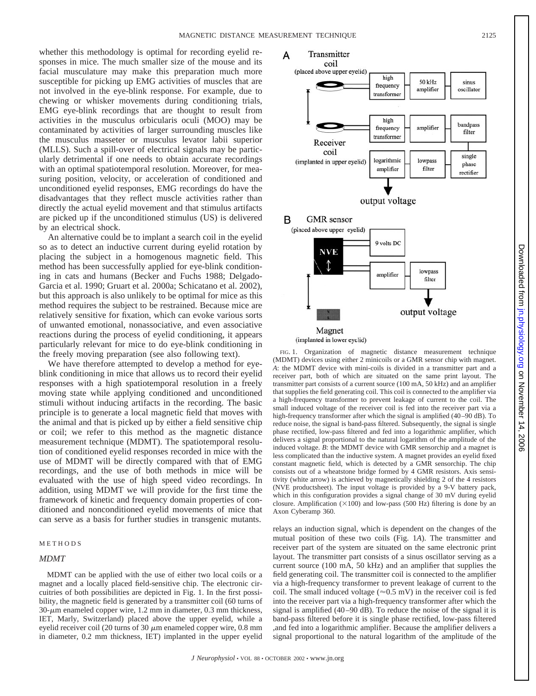whether this methodology is optimal for recording eyelid responses in mice. The much smaller size of the mouse and its facial musculature may make this preparation much more susceptible for picking up EMG activities of muscles that are not involved in the eye-blink response. For example, due to chewing or whisker movements during conditioning trials, EMG eye-blink recordings that are thought to result from activities in the musculus orbicularis oculi (MOO) may be contaminated by activities of larger surrounding muscles like the musculus masseter or musculus levator labii superior (MLLS). Such a spill-over of electrical signals may be particularly detrimental if one needs to obtain accurate recordings with an optimal spatiotemporal resolution. Moreover, for measuring position, velocity, or acceleration of conditioned and unconditioned eyelid responses, EMG recordings do have the disadvantages that they reflect muscle activities rather than directly the actual eyelid movement and that stimulus artifacts are picked up if the unconditioned stimulus (US) is delivered by an electrical shock.

An alternative could be to implant a search coil in the eyelid so as to detect an inductive current during eyelid rotation by placing the subject in a homogenous magnetic field. This method has been successfully applied for eye-blink conditioning in cats and humans (Becker and Fuchs 1988; Delgado-Garcia et al. 1990; Gruart et al. 2000a; Schicatano et al. 2002), but this approach is also unlikely to be optimal for mice as this method requires the subject to be restrained. Because mice are relatively sensitive for fixation, which can evoke various sorts of unwanted emotional, nonassociative, and even associative reactions during the process of eyelid conditioning, it appears particularly relevant for mice to do eye-blink conditioning in the freely moving preparation (see also following text).

We have therefore attempted to develop a method for eyeblink conditioning in mice that allows us to record their eyelid responses with a high spatiotemporal resolution in a freely moving state while applying conditioned and unconditioned stimuli without inducing artifacts in the recording. The basic principle is to generate a local magnetic field that moves with the animal and that is picked up by either a field sensitive chip or coil; we refer to this method as the magnetic distance measurement technique (MDMT). The spatiotemporal resolution of conditioned eyelid responses recorded in mice with the use of MDMT will be directly compared with that of EMG recordings, and the use of both methods in mice will be evaluated with the use of high speed video recordings. In addition, using MDMT we will provide for the first time the framework of kinetic and frequency domain properties of conditioned and nonconditioned eyelid movements of mice that can serve as a basis for further studies in transgenic mutants.

#### METHODS

#### *MDMT*

MDMT can be applied with the use of either two local coils or a magnet and a locally placed field-sensitive chip. The electronic circuitries of both possibilities are depicted in Fig. 1. In the first possibility, the magnetic field is generated by a transmitter coil (60 turns of  $30$ - $\mu$ m enameled copper wire, 1.2 mm in diameter, 0.3 mm thickness, IET, Marly, Switzerland) placed above the upper eyelid, while a eyelid receiver coil (20 turns of 30  $\mu$ m enameled copper wire, 0.8 mm in diameter, 0.2 mm thickness, IET) implanted in the upper eyelid

FIG. 1. Organization of magnetic distance measurement technique (MDMT) devices using either 2 minicoils or a GMR sensor chip with magnet. *A*: the MDMT device with mini-coils is divided in a transmitter part and a receiver part, both of which are situated on the same print layout. The transmitter part consists of a current source (100 mA, 50 kHz) and an amplifier that supplies the field generating coil. This coil is connected to the amplifier via a high-frequency transformer to prevent leakage of current to the coil. The small induced voltage of the receiver coil is fed into the receiver part via a high-frequency transformer after which the signal is amplified (40–90 dB). To reduce noise, the signal is band-pass filtered. Subsequently, the signal is single phase rectified, low-pass filtered and fed into a logarithmic amplifier, which delivers a signal proportional to the natural logarithm of the amplitude of the induced voltage. *B*: the MDMT device with GMR sensorchip and a magnet is less complicated than the inductive system. A magnet provides an eyelid fixed constant magnetic field, which is detected by a GMR sensorchip. The chip consists out of a wheatstone bridge formed by 4 GMR resistors. Axis sensitivity (white arrow) is achieved by magnetically shielding 2 of the 4 resistors (NVE productsheet). The input voltage is provided by a 9-V battery pack, which in this configuration provides a signal change of 30 mV during eyelid closure. Amplification  $(\times 100)$  and low-pass (500 Hz) filtering is done by an Axon Cyberamp 360.

relays an induction signal, which is dependent on the changes of the mutual position of these two coils (Fig. 1*A*). The transmitter and receiver part of the system are situated on the same electronic print layout. The transmitter part consists of a sinus oscillator serving as a current source (100 mA, 50 kHz) and an amplifier that supplies the field generating coil. The transmitter coil is connected to the amplifier via a high-frequency transformer to prevent leakage of current to the coil. The small induced voltage  $(\approx 0.5 \text{ mV})$  in the receiver coil is fed into the receiver part via a high-frequency transformer after which the signal is amplified (40–90 dB). To reduce the noise of the signal it is band-pass filtered before it is single phase rectified, low-pass filtered ,and fed into a logarithmic amplifier. Because the amplifier delivers a signal proportional to the natural logarithm of the amplitude of the

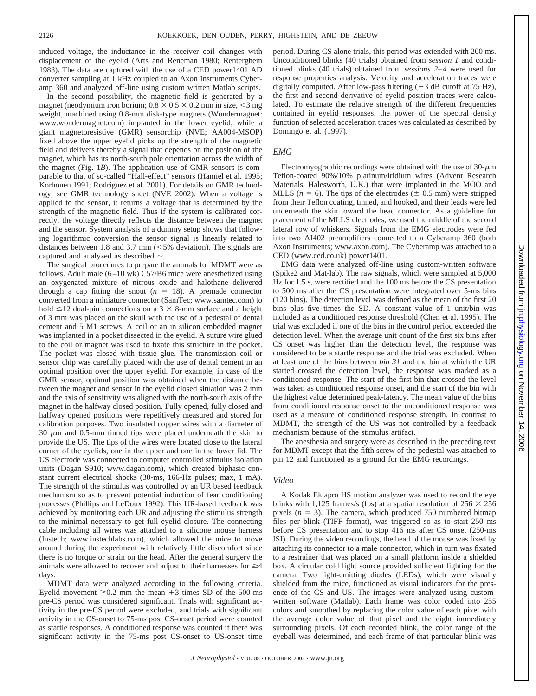induced voltage, the inductance in the receiver coil changes with displacement of the eyelid (Arts and Reneman 1980; Renterghem 1983). The data are captured with the use of a CED power1401 AD converter sampling at 1 kHz coupled to an Axon Instruments Cyberamp 360 and analyzed off-line using custom written Matlab scripts.

In the second possibility, the magnetic field is generated by a magnet (neodymium iron borium;  $0.8 \times 0.5 \times 0.2$  mm in size,  $\leq$ 3 mg weight, machined using 0.8-mm disk-type magnets (Wondermagnet: www.wondermagnet.com) implanted in the lower eyelid, while a giant magnetoresistive (GMR) sensorchip (NVE; AA004-MSOP) fixed above the upper eyelid picks up the strength of the magnetic field and delivers thereby a signal that depends on the position of the magnet, which has its north-south pole orientation across the width of the magnet (Fig. 1*B*). The application use of GMR sensors is comparable to that of so-called "Hall-effect" sensors (Hamiel et al. 1995; Korhonen 1991; Rodriguez et al. 2001). For details on GMR technology, see GMR technology sheet (NVE 2002). When a voltage is applied to the sensor, it returns a voltage that is determined by the strength of the magnetic field. Thus if the system is calibrated correctly, the voltage directly reflects the distance between the magnet and the sensor. System analysis of a dummy setup shows that following logarithmic conversion the sensor signal is linearly related to distances between 1.8 and 3.7 mm  $(<5%$  deviation). The signals are captured and analyzed as described  $\sim$ .

The surgical procedures to prepare the animals for MDMT were as follows. Adult male (6–10 wk) C57/B6 mice were anesthetized using an oxygenated mixture of nitrous oxide and halothane delivered through a cap fitting the snout  $(n = 18)$ . A premade connector converted from a miniature connector (SamTec; www.samtec.com) to hold  $\leq$ 12 dual-pin connections on a 3  $\times$  8-mm surface and a height of 3 mm was placed on the skull with the use of a pedestal of dental cement and 5 M1 screws. A coil or an in silicon embedded magnet was implanted in a pocket dissected in the eyelid. A suture wire glued to the coil or magnet was used to fixate this structure in the pocket. The pocket was closed with tissue glue. The transmission coil or sensor chip was carefully placed with the use of dental cement in an optimal position over the upper eyelid. For example, in case of the GMR sensor, optimal position was obtained when the distance between the magnet and sensor in the eyelid closed situation was 2 mm and the axis of sensitivity was aligned with the north-south axis of the magnet in the halfway closed position. Fully opened, fully closed and halfway opened positions were repetitively measured and stored for calibration purposes. Two insulated copper wires with a diameter of 30  $\mu$ m and 0.5-mm tinned tips were placed underneath the skin to provide the US. The tips of the wires were located close to the lateral corner of the eyelids, one in the upper and one in the lower lid. The US electrode was connected to computer controlled stimulus isolation units (Dagan S910; www.dagan.com), which created biphasic constant current electrical shocks (30-ms, 166-Hz pulses; max, 1 mA). The strength of the stimulus was controlled by an UR based feedback mechanism so as to prevent potential induction of fear conditioning processes (Phillips and LeDoux 1992). This UR-based feedback was achieved by monitoring each UR and adjusting the stimulus strength to the minimal necessary to get full eyelid closure. The connecting cable including all wires was attached to a silicone mouse harness (Instech; www.instechlabs.com), which allowed the mice to move around during the experiment with relatively little discomfort since there is no torque or strain on the head. After the general surgery the animals were allowed to recover and adjust to their harnesses for  $\geq$ 4 days.

MDMT data were analyzed according to the following criteria. Eyelid movement  $\geq 0.2$  mm the mean +3 times SD of the 500-ms pre-CS period was considered significant. Trials with significant activity in the pre-CS period were excluded, and trials with significant activity in the CS-onset to 75-ms post CS-onset period were counted as startle responses. A conditioned response was counted if there was significant activity in the 75-ms post CS-onset to US-onset time

period. During CS alone trials, this period was extended with 200 ms. Unconditioned blinks (40 trials) obtained from *session 1* and conditioned blinks (40 trials) obtained from *sessions 2–4* were used for response properties analysis. Velocity and acceleration traces were digitally computed. After low-pass filtering  $(-3$  dB cutoff at 75 Hz), the first and second derivative of eyelid position traces were calculated. To estimate the relative strength of the different frequencies contained in eyelid responses. the power of the spectral density function of selected acceleration traces was calculated as described by Domingo et al. (1997).

#### *EMG*

Electromyographic recordings were obtained with the use of  $30-\mu m$ Teflon-coated 90%/10% platinum/iridium wires (Advent Research Materials, Halesworth, U.K.) that were implanted in the MOO and MLLS ( $n = 6$ ). The tips of the electrodes ( $\pm$  0.5 mm) were stripped from their Teflon coating, tinned, and hooked, and their leads were led underneath the skin toward the head connector. As a guideline for placement of the MLLS electrodes, we used the middle of the second lateral row of whiskers. Signals from the EMG electrodes were fed into two AI402 preamplifiers connected to a Cyberamp 360 (both Axon Instruments; www.axon.com). The Cyberamp was attached to a CED (www.ced.co.uk) power1401.

EMG data were analyzed off-line using custom-written software (Spike2 and Mat-lab). The raw signals, which were sampled at 5,000 Hz for 1.5 s, were rectified and the 100 ms before the CS presentation to 500 ms after the CS presentation were integrated over 5-ms bins (120 bins). The detection level was defined as the mean of the first 20 bins plus five times the SD. A constant value of 1 unit/bin was included as a conditioned response threshold (Chen et al. 1995). The trial was excluded if one of the bins in the control period exceeded the detection level. When the average unit count of the first six bins after CS onset was higher than the detection level, the response was considered to be a startle response and the trial was excluded. When at least one of the bins between *bin 31* and the bin at which the UR started crossed the detection level, the response was marked as a conditioned response. The start of the first bin that crossed the level was taken as conditioned response onset, and the start of the bin with the highest value determined peak-latency. The mean value of the bins from conditioned response onset to the unconditioned response was used as a measure of conditioned response strength. In contrast to MDMT, the strength of the US was not controlled by a feedback mechanism because of the stimulus artifact.

The anesthesia and surgery were as described in the preceding text for MDMT except that the fifth screw of the pedestal was attached to pin 12 and functioned as a ground for the EMG recordings.

#### *Video*

A Kodak Ektapro HS motion analyzer was used to record the eye blinks with 1,125 frames/s (fps) at a spatial resolution of  $256 \times 256$ pixels  $(n = 3)$ . The camera, which produced 750 numbered bitmap files per blink (TIFF format), was triggered so as to start 250 ms before CS presentation and to stop 416 ms after CS onset (250-ms ISI). During the video recordings, the head of the mouse was fixed by attaching its connector to a male connector, which in turn was fixated to a restrainer that was placed on a small platform inside a shielded box. A circular cold light source provided sufficient lighting for the camera. Two light-emitting diodes (LEDs), which were visually shielded from the mice, functioned as visual indicators for the presence of the CS and US. The images were analyzed using customwritten software (Matlab). Each frame was color coded into 255 colors and smoothed by replacing the color value of each pixel with the average color value of that pixel and the eight immediately surrounding pixels. Of each recorded blink, the color range of the eyeball was determined, and each frame of that particular blink was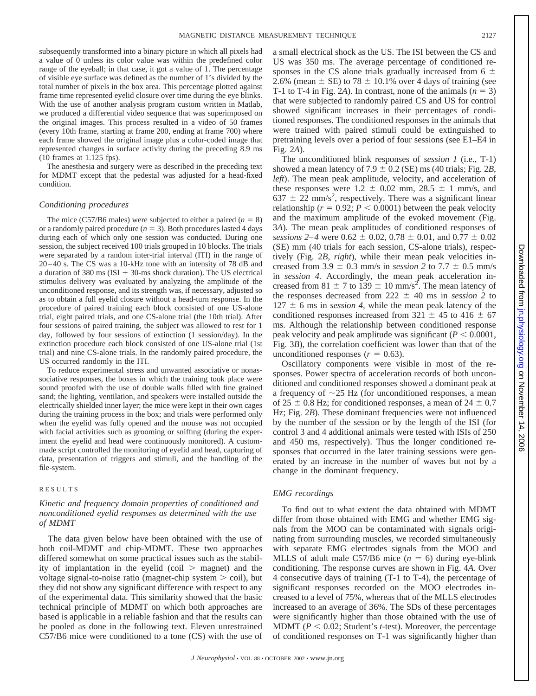subsequently transformed into a binary picture in which all pixels had a value of 0 unless its color value was within the predefined color range of the eyeball; in that case, it got a value of 1. The percentage of visible eye surface was defined as the number of 1's divided by the total number of pixels in the box area. This percentage plotted against frame time represented eyelid closure over time during the eye blinks. With the use of another analysis program custom written in Matlab, we produced a differential video sequence that was superimposed on the original images. This process resulted in a video of 50 frames (every 10th frame, starting at frame 200, ending at frame 700) where each frame showed the original image plus a color-coded image that represented changes in surface activity during the preceding 8.9 ms (10 frames at 1.125 fps).

The anesthesia and surgery were as described in the preceding text for MDMT except that the pedestal was adjusted for a head-fixed condition.

#### *Conditioning procedures*

The mice (C57/B6 males) were subjected to either a paired  $(n = 8)$ or a randomly paired procedure  $(n = 3)$ . Both procedures lasted 4 days during each of which only one session was conducted. During one session, the subject received 100 trials grouped in 10 blocks. The trials were separated by a random inter-trial interval (ITI) in the range of 20–40 s. The CS was a 10-kHz tone with an intensity of 78 dB and a duration of 380 ms (ISI  $+$  30-ms shock duration). The US electrical stimulus delivery was evaluated by analyzing the amplitude of the unconditioned response, and its strength was, if necessary, adjusted so as to obtain a full eyelid closure without a head-turn response. In the procedure of paired training each block consisted of one US-alone trial, eight paired trials, and one CS-alone trial (the 10th trial). After four sessions of paired training, the subject was allowed to rest for 1 day, followed by four sessions of extinction (1 session/day). In the extinction procedure each block consisted of one US-alone trial (1st trial) and nine CS-alone trials. In the randomly paired procedure, the US occurred randomly in the ITI.

To reduce experimental stress and unwanted associative or nonassociative responses, the boxes in which the training took place were sound proofed with the use of double walls filled with fine grained sand; the lighting, ventilation, and speakers were installed outside the electrically shielded inner layer; the mice were kept in their own cages during the training process in the box; and trials were performed only when the eyelid was fully opened and the mouse was not occupied with facial activities such as grooming or sniffing (during the experiment the eyelid and head were continuously monitored). A custommade script controlled the monitoring of eyelid and head, capturing of data, presentation of triggers and stimuli, and the handling of the file-system.

#### RESULTS

### *Kinetic and frequency domain properties of conditioned and nonconditioned eyelid responses as determined with the use of MDMT*

The data given below have been obtained with the use of both coil-MDMT and chip-MDMT. These two approaches differed somewhat on some practical issues such as the stability of implantation in the eyelid (coil  $>$  magnet) and the voltage signal-to-noise ratio (magnet-chip system  $>$  coil), but they did not show any significant difference with respect to any of the experimental data. This similarity showed that the basic technical principle of MDMT on which both approaches are based is applicable in a reliable fashion and that the results can be pooled as done in the following text. Eleven unrestrained C57/B6 mice were conditioned to a tone (CS) with the use of

a small electrical shock as the US. The ISI between the CS and US was 350 ms. The average percentage of conditioned responses in the CS alone trials gradually increased from 6  $\pm$ 2.6% (mean  $\pm$  SE) to 78  $\pm$  10.1% over 4 days of training (see T-1 to T-4 in Fig. 2A). In contrast, none of the animals  $(n = 3)$ that were subjected to randomly paired CS and US for control showed significant increases in their percentages of conditioned responses. The conditioned responses in the animals that were trained with paired stimuli could be extinguished to pretraining levels over a period of four sessions (see E1–E4 in Fig. 2*A*).

The unconditioned blink responses of *session 1* (i.e., T-1) showed a mean latency of  $7.9 \pm 0.2$  (SE) ms (40 trials; Fig. 2*B*, *left*). The mean peak amplitude, velocity, and acceleration of these responses were  $1.2 \pm 0.02$  mm,  $28.5 \pm 1$  mm/s, and  $637 \pm 22$  mm/s<sup>2</sup>, respectively. There was a significant linear relationship ( $r = 0.92$ ;  $P < 0.0001$ ) between the peak velocity and the maximum amplitude of the evoked movement (Fig. 3*A*). The mean peak amplitudes of conditioned responses of *sessions 2–4* were  $0.62 \pm 0.02$ ,  $0.78 \pm 0.01$ , and  $0.77 \pm 0.02$ (SE) mm (40 trials for each session, CS-alone trials), respectively (Fig. 2*B*, *right*), while their mean peak velocities increased from  $3.9 \pm 0.3$  mm/s in *session* 2 to  $7.7 \pm 0.5$  mm/s in *session 4.* Accordingly, the mean peak acceleration increased from 81  $\pm$  7 to 139  $\pm$  10 mm/s<sup>2</sup>. The mean latency of the responses decreased from  $222 \pm 40$  ms in *session* 2 to  $127 \pm 6$  ms in *session 4*, while the mean peak latency of the conditioned responses increased from 321  $\pm$  45 to 416  $\pm$  67 ms. Although the relationship between conditioned response peak velocity and peak amplitude was significant  $(P < 0.0001)$ , Fig. 3*B*), the correlation coefficient was lower than that of the unconditioned responses  $(r = 0.63)$ .

Oscillatory components were visible in most of the responses. Power spectra of acceleration records of both unconditioned and conditioned responses showed a dominant peak at a frequency of  $\sim$ 25 Hz (for unconditioned responses, a mean of  $25 \pm 0.8$  Hz; for conditioned responses, a mean of  $24 \pm 0.7$ Hz; Fig. 2*B*). These dominant frequencies were not influenced by the number of the session or by the length of the ISI (for control 3 and 4 additional animals were tested with ISIs of 250 and 450 ms, respectively). Thus the longer conditioned responses that occurred in the later training sessions were generated by an increase in the number of waves but not by a change in the dominant frequency.

#### *EMG recordings*

To find out to what extent the data obtained with MDMT differ from those obtained with EMG and whether EMG signals from the MOO can be contaminated with signals originating from surrounding muscles, we recorded simultaneously with separate EMG electrodes signals from the MOO and MLLS of adult male C57/B6 mice  $(n = 6)$  during eye-blink conditioning. The response curves are shown in Fig. 4*A*. Over 4 consecutive days of training (T-1 to T-4), the percentage of significant responses recorded on the MOO electrodes increased to a level of 75%, whereas that of the MLLS electrodes increased to an average of 36%. The SDs of these percentages were significantly higher than those obtained with the use of MDMT ( $P < 0.02$ ; Student's *t*-test). Moreover, the percentage of conditioned responses on T-1 was significantly higher than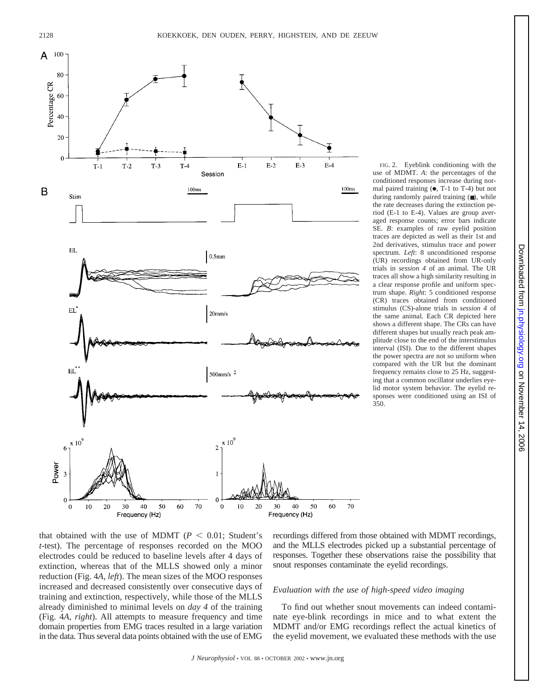

FIG. 2. Eyeblink conditioning with the use of MDMT. *A*: the percentages of the conditioned responses increase during normal paired training  $(\bullet, T-1$  to T-4) but not during randomly paired training (■), while the rate decreases during the extinction period (E-1 to E-4). Values are group averaged response counts; error bars indicate SE. *B*: examples of raw eyelid position traces are depicted as well as their 1st and 2nd derivatives, stimulus trace and power spectrum. *Left*: 8 unconditioned response (UR) recordings obtained from UR-only trials in *session 4* of an animal. The UR traces all show a high similarity resulting in a clear response profile and uniform spectrum shape. *Right*: 5 conditioned response (CR) traces obtained from conditioned stimulus (CS)-alone trials in *session 4* of the same animal. Each CR depicted here shows a different shape. The CRs can have different shapes but usually reach peak amplitude close to the end of the interstimulus interval (ISI). Due to the different shapes the power spectra are not so uniform when compared with the UR but the dominant frequency remains close to 25 Hz, suggesting that a common oscillator underlies eyelid motor system behavior. The eyelid responses were conditioned using an ISI of 350.

Frequency (Hz) that obtained with the use of MDMT ( $P < 0.01$ ; Student's recordings differed from those obtained with MDMT recordings, *t*-test). The percentage of responses recorded on the MOO and the MLLS electrodes picked up a substantial percentage of responses. Together these observations raise the possibility that snout responses contaminate the eyelid recordings. *Evaluation with the use of high-speed video imaging*

To find out whether snout movements can indeed contaminate eye-blink recordings in mice and to what extent the MDMT and/or EMG recordings reflect the actual kinetics of the eyelid movement, we evaluated these methods with the use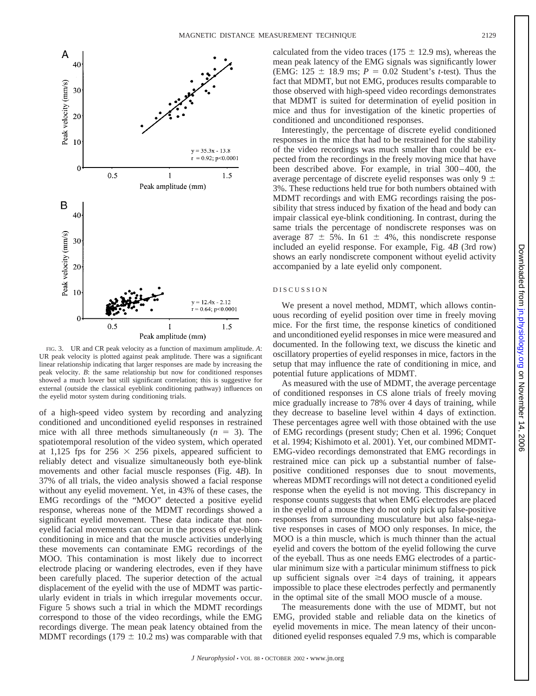

FIG. 3. UR and CR peak velocity as a function of maximum amplitude. *A*: UR peak velocity is plotted against peak amplitude. There was a significant linear relationship indicating that larger responses are made by increasing the peak velocity. *B*: the same relationship but now for conditioned responses showed a much lower but still significant correlation; this is suggestive for external (outside the classical eyeblink conditioning pathway) influences on the eyelid motor system during conditioning trials.

of a high-speed video system by recording and analyzing conditioned and unconditioned eyelid responses in restrained mice with all three methods simultaneously  $(n = 3)$ . The spatiotemporal resolution of the video system, which operated at 1,125 fps for 256  $\times$  256 pixels, appeared sufficient to reliably detect and visualize simultaneously both eye-blink movements and other facial muscle responses (Fig. 4*B*). In 37% of all trials, the video analysis showed a facial response without any eyelid movement. Yet, in 43% of these cases, the EMG recordings of the "MOO" detected a positive eyelid response, whereas none of the MDMT recordings showed a significant eyelid movement. These data indicate that noneyelid facial movements can occur in the process of eye-blink conditioning in mice and that the muscle activities underlying these movements can contaminate EMG recordings of the MOO. This contamination is most likely due to incorrect electrode placing or wandering electrodes, even if they have been carefully placed. The superior detection of the actual displacement of the eyelid with the use of MDMT was particularly evident in trials in which irregular movements occur. Figure 5 shows such a trial in which the MDMT recordings correspond to those of the video recordings, while the EMG recordings diverge. The mean peak latency obtained from the MDMT recordings (179  $\pm$  10.2 ms) was comparable with that

calculated from the video traces ( $175 \pm 12.9$  ms), whereas the mean peak latency of the EMG signals was significantly lower (EMG:  $125 \pm 18.9$  ms;  $P = 0.02$  Student's *t*-test). Thus the fact that MDMT, but not EMG, produces results comparable to those observed with high-speed video recordings demonstrates that MDMT is suited for determination of eyelid position in mice and thus for investigation of the kinetic properties of conditioned and unconditioned responses.

Interestingly, the percentage of discrete eyelid conditioned responses in the mice that had to be restrained for the stability of the video recordings was much smaller than could be expected from the recordings in the freely moving mice that have been described above. For example, in trial 300–400, the average percentage of discrete eyelid responses was only 9  $\pm$ 3%. These reductions held true for both numbers obtained with MDMT recordings and with EMG recordings raising the possibility that stress induced by fixation of the head and body can impair classical eye-blink conditioning. In contrast, during the same trials the percentage of nondiscrete responses was on average 87  $\pm$  5%. In 61  $\pm$  4%, this nondiscrete response included an eyelid response. For example, Fig. 4*B* (3rd row) shows an early nondiscrete component without eyelid activity accompanied by a late eyelid only component.

#### DISCUSSION

We present a novel method, MDMT, which allows continuous recording of eyelid position over time in freely moving mice. For the first time, the response kinetics of conditioned and unconditioned eyelid responses in mice were measured and documented. In the following text, we discuss the kinetic and oscillatory properties of eyelid responses in mice, factors in the setup that may influence the rate of conditioning in mice, and potential future applications of MDMT.

As measured with the use of MDMT, the average percentage of conditioned responses in CS alone trials of freely moving mice gradually increase to 78% over 4 days of training, while they decrease to baseline level within 4 days of extinction. These percentages agree well with those obtained with the use of EMG recordings (present study; Chen et al. 1996; Conquet et al. 1994; Kishimoto et al. 2001). Yet, our combined MDMT-EMG-video recordings demonstrated that EMG recordings in restrained mice can pick up a substantial number of falsepositive conditioned responses due to snout movements, whereas MDMT recordings will not detect a conditioned eyelid response when the eyelid is not moving. This discrepancy in response counts suggests that when EMG electrodes are placed in the eyelid of a mouse they do not only pick up false-positive responses from surrounding musculature but also false-negative responses in cases of MOO only responses. In mice, the MOO is a thin muscle, which is much thinner than the actual eyelid and covers the bottom of the eyelid following the curve of the eyeball. Thus as one needs EMG electrodes of a particular minimum size with a particular minimum stiffness to pick up sufficient signals over  $\geq 4$  days of training, it appears impossible to place these electrodes perfectly and permanently in the optimal site of the small MOO muscle of a mouse.

The measurements done with the use of MDMT, but not EMG, provided stable and reliable data on the kinetics of eyelid movements in mice. The mean latency of their unconditioned eyelid responses equaled 7.9 ms, which is comparable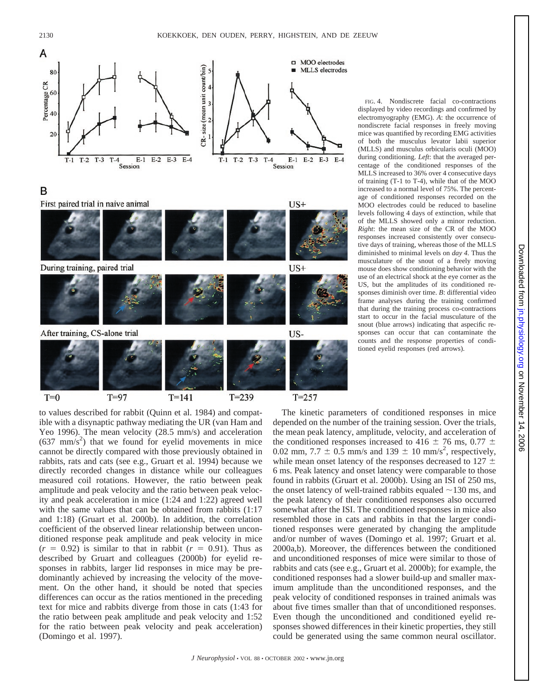

B

First paired trial in naive animal



to values described for rabbit (Quinn et al. 1984) and compatible with a disynaptic pathway mediating the UR (van Ham and Yeo 1996). The mean velocity (28.5 mm/s) and acceleration  $(637 \text{ mm/s}^2)$  that we found for eyelid movements in mice cannot be directly compared with those previously obtained in rabbits, rats and cats (see e.g., Gruart et al. 1994) because we directly recorded changes in distance while our colleagues measured coil rotations. However, the ratio between peak amplitude and peak velocity and the ratio between peak velocity and peak acceleration in mice (1:24 and 1:22) agreed well with the same values that can be obtained from rabbits  $(1:17)$ and 1:18) (Gruart et al. 2000b). In addition, the correlation coefficient of the observed linear relationship between unconditioned response peak amplitude and peak velocity in mice  $(r = 0.92)$  is similar to that in rabbit  $(r = 0.91)$ . Thus as described by Gruart and colleagues (2000b) for eyelid responses in rabbits, larger lid responses in mice may be predominantly achieved by increasing the velocity of the movement. On the other hand, it should be noted that species differences can occur as the ratios mentioned in the preceding text for mice and rabbits diverge from those in cats (1:43 for the ratio between peak amplitude and peak velocity and 1:52 for the ratio between peak velocity and peak acceleration) (Domingo et al. 1997).

FIG. 4. Nondiscrete facial co-contractions displayed by video recordings and confirmed by electromyography (EMG). *A*: the occurrence of nondiscrete facial responses in freely moving mice was quantified by recording EMG activities of both the musculus levator labii superior (MLLS) and musculus orbicularis oculi (MOO) during conditioning. *Left*: that the averaged percentage of the conditioned responses of the MLLS increased to 36% over 4 consecutive days of training (T-1 to T-4), while that of the MOO increased to a normal level of 75%. The percentage of conditioned responses recorded on the MOO electrodes could be reduced to baseline levels following 4 days of extinction, while that of the MLLS showed only a minor reduction. *Right*: the mean size of the CR of the MOO responses increased consistently over consecutive days of training, whereas those of the MLLS diminished to minimal levels on *day 4.* Thus the musculature of the snout of a freely moving mouse does show conditioning behavior with the use of an electrical shock at the eye corner as the US, but the amplitudes of its conditioned responses diminish over time. *B*: differential video frame analyses during the training confirmed that during the training process co-contractions start to occur in the facial musculature of the snout (blue arrows) indicating that aspecific responses can occur that can contaminate the counts and the response properties of conditioned eyelid responses (red arrows).

The kinetic parameters of conditioned responses in mice depended on the number of the training session. Over the trials, the mean peak latency, amplitude, velocity, and acceleration of the conditioned responses increased to 416  $\pm$  76 ms, 0.77  $\pm$ 0.02 mm,  $7.7 \pm 0.5$  mm/s and  $139 \pm 10$  mm/s<sup>2</sup>, respectively, while mean onset latency of the responses decreased to  $127 \pm$ 6 ms. Peak latency and onset latency were comparable to those found in rabbits (Gruart et al. 2000b). Using an ISI of 250 ms, the onset latency of well-trained rabbits equaled  $\sim$ 130 ms, and the peak latency of their conditioned responses also occurred somewhat after the ISI. The conditioned responses in mice also resembled those in cats and rabbits in that the larger conditioned responses were generated by changing the amplitude and/or number of waves (Domingo et al. 1997; Gruart et al. 2000a,b). Moreover, the differences between the conditioned and unconditioned responses of mice were similar to those of rabbits and cats (see e.g., Gruart et al. 2000b); for example, the conditioned responses had a slower build-up and smaller maximum amplitude than the unconditioned responses, and the peak velocity of conditioned responses in trained animals was about five times smaller than that of unconditioned responses. Even though the unconditioned and conditioned eyelid responses showed differences in their kinetic properties, they still could be generated using the same common neural oscillator.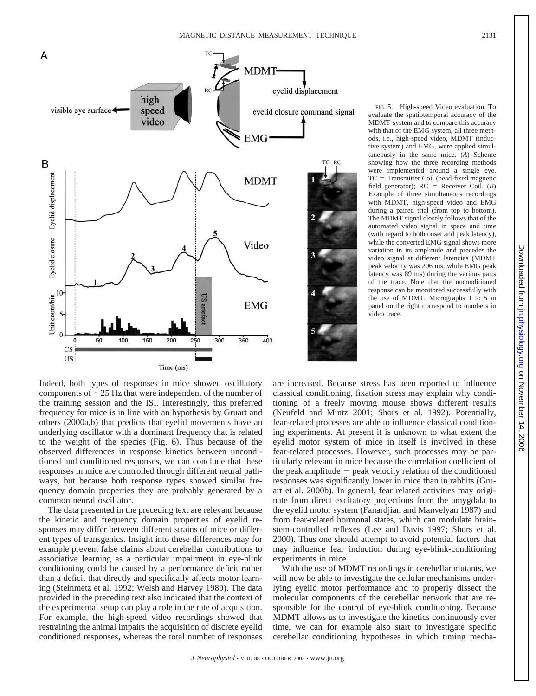

Downloadedfrom [jn.physiology.org](http://jn.physiology.org) on November 14, 2006

2006

Downloaded from jn.physiology.org on November 14,



FIG. 5. High-speed Video evaluation. To evaluate the spatiotemporal accuracy of the MDMT-system and to compare this accuracy with that of the EMG system, all three methods, i.e., high-speed video, MDMT (inductive system) and EMG, were applied simultaneously in the same mice. (*A*) Scheme showing how the three recording methods were implemented around a single eye.  $TC = Transmitter Coil (head-fixed magnetic)$ field generator);  $RC = Receiver Coil. (B)$ Example of three simultaneous recordings with MDMT, high-speed video and EMG during a paired trial (from top to bottom). The MDMT signal closely follows that of the automated video signal in space and time (with regard to both onset and peak latency), while the converted EMG signal shows more variation in its amplitude and precedes the video signal at different latencies (MDMT peak velocity was 206 ms, while EMG peak latency was 89 ms) during the various parts of the trace. Note that the unconditioned response can be monitored successfully with the use of MDMT. Micrographs 1 to 5 in panel on the right correspond to numbers in video trace.

Indeed, both types of responses in mice showed oscillatory components of  $\sim$ 25 Hz that were independent of the number of the training session and the ISI. Interestingly, this preferred frequency for mice is in line with an hypothesis by Gruart and others (2000a,b) that predicts that eyelid movements have an underlying oscillator with a dominant frequency that is related to the weight of the species (Fig. 6). Thus because of the observed differences in response kinetics between unconditioned and conditioned responses, we can conclude that these responses in mice are controlled through different neural pathways, but because both response types showed similar frequency domain properties they are probably generated by a common neural oscillator.

The data presented in the preceding text are relevant because the kinetic and frequency domain properties of eyelid responses may differ between different strains of mice or different types of transgenics. Insight into these differences may for example prevent false claims about cerebellar contributions to associative learning as a particular impairment in eye-blink conditioning could be caused by a performance deficit rather than a deficit that directly and specifically affects motor learning (Steinmetz et al. 1992; Welsh and Harvey 1989). The data provided in the preceding text also indicated that the context of the experimental setup can play a role in the rate of acquisition. For example, the high-speed video recordings showed that restraining the animal impairs the acquisition of discrete eyelid conditioned responses, whereas the total number of responses

are increased. Because stress has been reported to influence classical conditioning, fixation stress may explain why conditioning of a freely moving mouse shows different results (Neufeld and Mintz 2001; Shors et al. 1992). Potentially, fear-related processes are able to influence classical conditioning experiments. At present it is unknown to what extent the eyelid motor system of mice in itself is involved in these fear-related processes. However, such processes may be particularly relevant in mice because the correlation coefficient of the peak amplitude  $-$  peak velocity relation of the conditioned responses was significantly lower in mice than in rabbits (Gruart et al. 2000b). In general, fear related activities may originate from direct excitatory projections from the amygdala to the eyelid motor system (Fanardjian and Manvelyan 1987) and from fear-related hormonal states, which can modulate brainstem-controlled reflexes (Lee and Davis 1997; Shors et al. 2000). Thus one should attempt to avoid potential factors that may influence fear induction during eye-blink-conditioning experiments in mice.

With the use of MDMT recordings in cerebellar mutants, we will now be able to investigate the cellular mechanisms underlying eyelid motor performance and to properly dissect the molecular components of the cerebellar network that are responsible for the control of eye-blink conditioning. Because MDMT allows us to investigate the kinetics continuously over time, we can for example also start to investigate specific cerebellar conditioning hypotheses in which timing mecha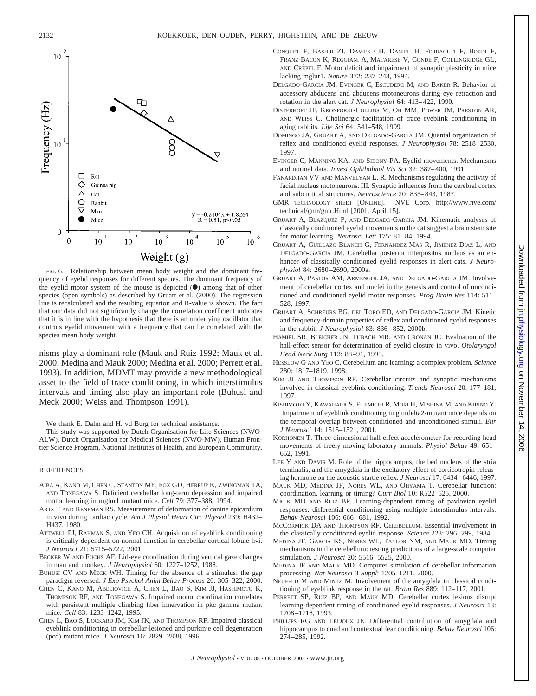6



FIG. 6. Relationship between mean body weight and the dominant frequency of eyelid responses for different species. The dominant frequency of the eyelid motor system of the mouse is depicted ( $\bullet$ ) among that of other species (open symbols) as described by Gruart et al. (2000). The regression line is recalculated and the resulting equation and R-value is shown. The fact that our data did not significantly change the correlation coefficient indicates that it is in line with the hypothesis that there is an underlying oscillator that controls eyelid movement with a frequency that can be correlated with the species mean body weight.

nisms play a dominant role (Mauk and Ruiz 1992; Mauk et al. 2000; Medina and Mauk 2000; Medina et al. 2000; Perrett et al. 1993). In addition, MDMT may provide a new methodological asset to the field of trace conditioning, in which interstimulus intervals and timing also play an important role (Buhusi and Meck 2000; Weiss and Thompson 1991).

We thank E. Dalm and H. vd Burg for technical assistance.

This study was supported by Dutch Organisation for Life Sciences (NWO-ALW), Dutch Organisation for Medical Sciences (NWO-MW), Human Frontier Science Program, National Institutes of Health, and European Community.

#### REFERENCES

- AIBA A, KANO M, CHEN C, STANTON ME, FOX GD, HERRUP K, ZWINGMAN TA, AND TONEGAWA S. Deficient cerebellar long-term depression and impaired motor learning in mglur1 mutant mice. *Cell* 79: 377–388, 1994.
- ARTS T AND RENEMAN RS. Measurement of deformation of canine epicardium in vivo during cardiac cycle. *Am J Physiol Heart Circ Physiol* 239: H432– H437, 1980.
- ATTWELL PJ, RAHMAN S, AND YEO CH. Acquisition of eyeblink conditioning is critically dependent on normal function in cerebellar cortical lobule hvi. *J Neurosci* 21: 5715–5722, 2001.
- BECKER W AND FUCHS AF. Lid-eye coordination during vertical gaze changes in man and monkey. *J Neurophysiol* 60: 1227–1252, 1988.
- BUHUSI CV AND MECK WH. Timing for the absence of a stimulus: the gap paradigm reversed. *J Exp Psychol Anim Behav Process* 26: 305–322, 2000.
- CHEN C, KANO M, ABELIOVICH A, CHEN L, BAO S, KIM JJ, HASHIMOTO K, THOMPSON RF, AND TONEGAWA S. Impaired motor coordination correlates with persistent multiple climbing fiber innervation in pkc gamma mutant mice. *Cell* 83: 1233–1242, 1995.
- CHEN L, BAO S, LOCKARD JM, KIM JK, AND THOMPSON RF. Impaired classical eyeblink conditioning in cerebellar-lesioned and purkinje cell degeneration (pcd) mutant mice. *J Neurosci* 16: 2829–2838, 1996.
- CONQUET F, BASHIR ZI, DAVIES CH, DANIEL H, FERRAGUTI F, BORDI F, FRANZ-BACON K, REGGIANI A, MATARESE V, CONDE F, COLLINGRIDGE GL, AND CREPEL F. Motor deficit and impairment of synaptic plasticity in mice lacking mglur1. *Nature* 372: 237–243, 1994.
- DELGADO-GARCIA JM, EVINGER C, ESCUDERO M, AND BAKER R. Behavior of accessory abducens and abducens motoneurons during eye retraction and rotation in the alert cat. *J Neurophysiol* 64: 413–422, 1990.
- DISTERHOFT JF, KRONFORST-COLLINS M, OH MM, POWER JM, PRESTON AR, AND WEISS C. Cholinergic facilitation of trace eyeblink conditioning in aging rabbits. *Life Sci* 64: 541–548, 1999.
- DOMINGO JA, GRUART A, AND DELGADO-GARCIA JM. Quantal organization of reflex and conditioned eyelid responses. *J Neurophysiol* 78: 2518–2530, 1997.
- EVINGER C, MANNING KA, AND SIBONY PA. Eyelid movements. Mechanisms and normal data. *Invest Ophthalmol Vis Sci* 32: 387–400, 1991.
- FANARDJIAN VV AND MANVELYAN L. R. Mechanisms regulating the activity of facial nucleus motoneurons. III. Synaptic influences from the cerebral cortex and subcortical structures. *Neuroscience* 20: 835–843, 1987.
- GMR TECHNOLOGY SHEET [ONLINE]. NVE Corp. http://www.nve.com/ technical/gmr/gmr.Html [2001, April 15].
- GRUART A, BLAZQUEZ P, AND DELGADO-GARCIA JM. Kinematic analyses of classically conditioned eyelid movements in the cat suggest a brain stem site for motor learning. *Neurosci Lett* 175: 81–84, 1994.
- GRUART A, GUILLAZO-BLANCH G, FERNANDEZ-MAS R, JIMENEZ-DIAZ L, AND DELGADO-GARCIA JM. Cerebellar posterior interpositus nucleus as an enhancer of classically conditioned eyelid responses in alert cats. *J Neurophysiol* 84: 2680–2690, 2000a.
- GRUART A, PASTOR AM, ARMENGOL JA, AND DELGADO-GARCIA JM. Involvement of cerebellar cortex and nuclei in the genesis and control of unconditioned and conditioned eyelid motor responses. *Prog Brain Res* 114: 511– 528, 1997.
- GRUART A, SCHREURS BG, DEL TORO ED, AND DELGADO-GARCIA JM. Kinetic and frequency-domain properties of reflex and conditioned eyelid responses in the rabbit. *J Neurophysiol* 83: 836–852, 2000b.
- HAMIEL SR, BLEICHER JN, TUBACH MR, AND CRONAN JC. Evaluation of the hall-effect sensor for determination of eyelid closure in vivo. *Otolaryngol Head Neck Surg* 113: 88–91, 1995.
- HESSLOW G AND YEO C. Cerebellum and learning: a complex problem. *Science* 280: 1817–1819, 1998.
- KIM JJ AND THOMPSON RF. Cerebellar circuits and synaptic mechanisms involved in classical eyeblink conditioning. *Trends Neurosci* 20: 177–181, 1997.
- KISHIMOTO Y, KAWAHARA S, FUJIMICHI R, MORI H, MISHINA M, AND KIRINO Y. Impairment of eyeblink conditioning in glurdelta2-mutant mice depends on the temporal overlap between conditioned and unconditioned stimuli. *Eur J Neurosci* 14: 1515–1521, 2001.
- KORHONEN T. Three-dimensional hall effect accelerometer for recording head movements of freely moving laboratory animals. *Physiol Behav* 49: 651– 652, 1991.
- LEE Y AND DAVIS M. Role of the hippocampus, the bed nucleus of the stria terminalis, and the amygdala in the excitatory effect of corticotropin-releasing hormone on the acoustic startle reflex. *J Neurosci* 17: 6434–6446, 1997.
- MAUK MD, MEDINA JF, NORES WL, AND OHYAMA T. Cerebellar function: coordination, learning or timing? *Curr Biol* 10: R522–525, 2000.
- MAUK MD AND RUIZ BP. Learning-dependent timing of pavlovian eyelid responses: differential conditioning using multiple interstimulus intervals. *Behav Neurosci* 106: 666–681, 1992.
- MCCORMICK DA AND THOMPSON RF. CEREBELLUM. Essential involvement in the classically conditioned eyelid response. *Science* 223: 296–299, 1984.
- MEDINA JF, GARCIA KS, NORES WL, TAYLOR NM, AND MAUK MD. Timing mechanisms in the cerebellum: testing predictions of a large-scale computer simulation. *J Neurosci* 20: 5516–5525, 2000.
- MEDINA JF AND MAUK MD. Computer simulation of cerebellar information processing. *Nat Neurosci* 3 *Suppl*: 1205–1211, 2000.
- NEUFELD M AND MINTZ M. Involvement of the amygdala in classical conditioning of eyeblink response in the rat. *Brain Res* 889: 112–117, 2001.
- PERRETT SP, RUIZ BP, AND MAUK MD. Cerebellar cortex lesions disrupt learning-dependent timing of conditioned eyelid responses. *J Neurosci* 13: 1708–1718, 1993.
- PHILLIPS RG AND LEDOUX JE. Differential contribution of amygdala and hippocampus to cued and contextual fear conditioning. *Behav Neurosci* 106: 274–285, 1992.